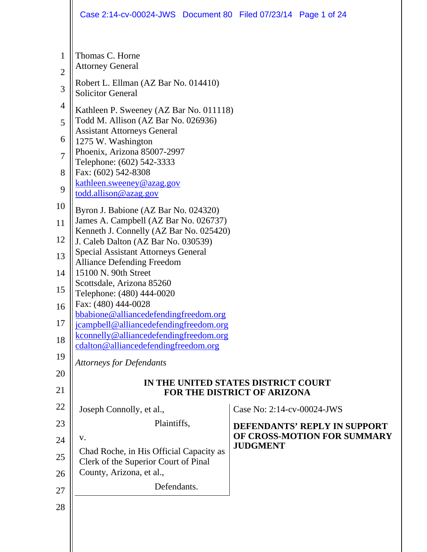|                                                                                            | Case 2:14-cv-00024-JWS Document 80 Filed 07/23/14 Page 1 of 24                                                                                                                                                                                                                                                                                                                                                                                                                                                                                                                                                                                                                                                   |                            |                              |
|--------------------------------------------------------------------------------------------|------------------------------------------------------------------------------------------------------------------------------------------------------------------------------------------------------------------------------------------------------------------------------------------------------------------------------------------------------------------------------------------------------------------------------------------------------------------------------------------------------------------------------------------------------------------------------------------------------------------------------------------------------------------------------------------------------------------|----------------------------|------------------------------|
| 1<br>$\overline{2}$<br>3<br>4<br>5<br>6<br>7<br>8<br>9<br>10<br>11<br>12<br>13<br>14<br>15 | Thomas C. Horne<br><b>Attorney General</b><br>Robert L. Ellman (AZ Bar No. 014410)<br><b>Solicitor General</b><br>Kathleen P. Sweeney (AZ Bar No. 011118)<br>Todd M. Allison (AZ Bar No. 026936)<br><b>Assistant Attorneys General</b><br>1275 W. Washington<br>Phoenix, Arizona 85007-2997<br>Telephone: (602) 542-3333<br>Fax: (602) 542-8308<br>kathleen.sweeney@azag.gov<br>todd.allison@azag.gov<br>Byron J. Babione (AZ Bar No. 024320)<br>James A. Campbell (AZ Bar No. 026737)<br>Kenneth J. Connelly (AZ Bar No. 025420)<br>J. Caleb Dalton (AZ Bar No. 030539)<br><b>Special Assistant Attorneys General</b><br><b>Alliance Defending Freedom</b><br>15100 N. 90th Street<br>Scottsdale, Arizona 85260 |                            |                              |
| 16<br>17                                                                                   | Telephone: (480) 444-0020<br>Fax: (480) 444-0028<br>bbabione@alliancedefendingfreedom.org<br>jcampbell@alliancedefendingfreedom.org                                                                                                                                                                                                                                                                                                                                                                                                                                                                                                                                                                              |                            |                              |
| 18<br>19                                                                                   | kconnelly@alliancedefendingfreedom.org<br>cdalton@alliancedefendingfreedom.org                                                                                                                                                                                                                                                                                                                                                                                                                                                                                                                                                                                                                                   |                            |                              |
| 20                                                                                         | <b>Attorneys for Defendants</b>                                                                                                                                                                                                                                                                                                                                                                                                                                                                                                                                                                                                                                                                                  |                            |                              |
| 21                                                                                         | IN THE UNITED STATES DISTRICT COURT<br>FOR THE DISTRICT OF ARIZONA                                                                                                                                                                                                                                                                                                                                                                                                                                                                                                                                                                                                                                               |                            |                              |
| 22                                                                                         | Joseph Connolly, et al.,                                                                                                                                                                                                                                                                                                                                                                                                                                                                                                                                                                                                                                                                                         | Case No: 2:14-cv-00024-JWS |                              |
| 23                                                                                         | Plaintiffs,                                                                                                                                                                                                                                                                                                                                                                                                                                                                                                                                                                                                                                                                                                      |                            | DEFENDANTS' REPLY IN SUPPORT |
| 24                                                                                         | V.                                                                                                                                                                                                                                                                                                                                                                                                                                                                                                                                                                                                                                                                                                               | <b>JUDGMENT</b>            | OF CROSS-MOTION FOR SUMMARY  |
| 25                                                                                         | Chad Roche, in His Official Capacity as<br>Clerk of the Superior Court of Pinal                                                                                                                                                                                                                                                                                                                                                                                                                                                                                                                                                                                                                                  |                            |                              |
| 26                                                                                         | County, Arizona, et al.,                                                                                                                                                                                                                                                                                                                                                                                                                                                                                                                                                                                                                                                                                         |                            |                              |
| 27                                                                                         | Defendants.                                                                                                                                                                                                                                                                                                                                                                                                                                                                                                                                                                                                                                                                                                      |                            |                              |
| 28                                                                                         |                                                                                                                                                                                                                                                                                                                                                                                                                                                                                                                                                                                                                                                                                                                  |                            |                              |
|                                                                                            |                                                                                                                                                                                                                                                                                                                                                                                                                                                                                                                                                                                                                                                                                                                  |                            |                              |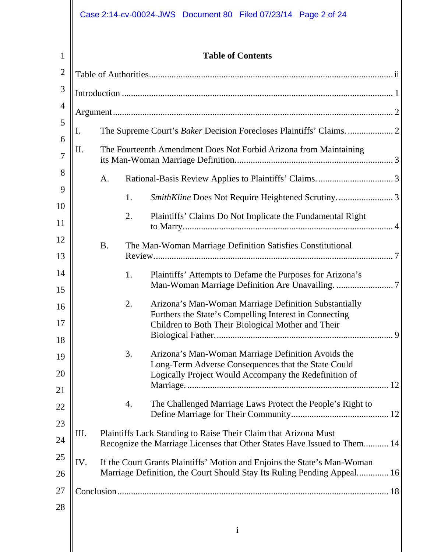# Case 2:14-cv-00024-JWS Document 80 Filed 07/23/14 Page 2 of 24

| $\mathbf{1}$   | <b>Table of Contents</b>                                                |           |    |                                                                                                                                                                       |
|----------------|-------------------------------------------------------------------------|-----------|----|-----------------------------------------------------------------------------------------------------------------------------------------------------------------------|
| $\overline{2}$ |                                                                         |           |    |                                                                                                                                                                       |
| 3              |                                                                         |           |    |                                                                                                                                                                       |
| $\overline{4}$ |                                                                         |           |    |                                                                                                                                                                       |
| 5              | I.                                                                      |           |    |                                                                                                                                                                       |
| 6<br>7         | Π.<br>The Fourteenth Amendment Does Not Forbid Arizona from Maintaining |           |    |                                                                                                                                                                       |
| 8              |                                                                         | A.        |    |                                                                                                                                                                       |
| 9              |                                                                         |           | 1. |                                                                                                                                                                       |
| 10<br>11       |                                                                         |           | 2. | Plaintiffs' Claims Do Not Implicate the Fundamental Right                                                                                                             |
| 12<br>13       |                                                                         | <b>B.</b> |    | The Man-Woman Marriage Definition Satisfies Constitutional                                                                                                            |
| 14<br>15       |                                                                         |           | 1. | Plaintiffs' Attempts to Defame the Purposes for Arizona's                                                                                                             |
| 16<br>17<br>18 |                                                                         |           | 2. | Arizona's Man-Woman Marriage Definition Substantially<br>Furthers the State's Compelling Interest in Connecting<br>Children to Both Their Biological Mother and Their |
| 19<br>20       |                                                                         |           | 3. | Arizona's Man-Woman Marriage Definition Avoids the<br>Long-Term Adverse Consequences that the State Could<br>Logically Project Would Accompany the Redefinition of    |
| 21             |                                                                         |           |    |                                                                                                                                                                       |
| 22             |                                                                         |           | 4. | The Challenged Marriage Laws Protect the People's Right to                                                                                                            |
| 23             |                                                                         |           |    |                                                                                                                                                                       |
| 24             | Ш.                                                                      |           |    | Plaintiffs Lack Standing to Raise Their Claim that Arizona Must<br>Recognize the Marriage Licenses that Other States Have Issued to Them 14                           |
| 25<br>26       | IV.                                                                     |           |    | If the Court Grants Plaintiffs' Motion and Enjoins the State's Man-Woman<br>Marriage Definition, the Court Should Stay Its Ruling Pending Appeal 16                   |
|                |                                                                         |           |    |                                                                                                                                                                       |
| 27<br>28       |                                                                         |           |    |                                                                                                                                                                       |
|                |                                                                         |           |    |                                                                                                                                                                       |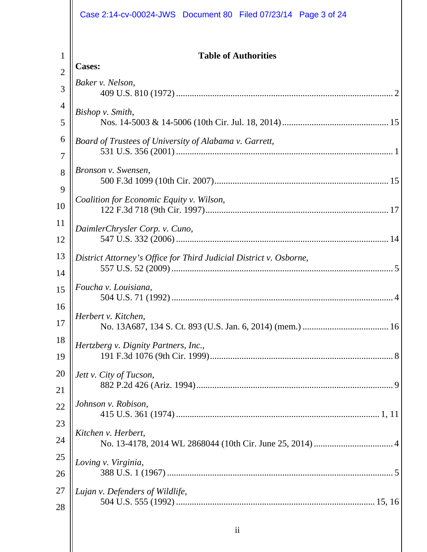|                | Case 2:14-cv-00024-JWS  Document 80  Filed 07/23/14  Page 3 of 24  |
|----------------|--------------------------------------------------------------------|
|                |                                                                    |
| 1              | <b>Table of Authorities</b>                                        |
| $\overline{2}$ | <b>Cases:</b>                                                      |
| 3              | Baker v. Nelson,                                                   |
| 4              | Bishop v. Smith,                                                   |
| 5              |                                                                    |
| 6              | Board of Trustees of University of Alabama v. Garrett,             |
| 7              |                                                                    |
| 8              | Bronson v. Swensen,                                                |
| 9              |                                                                    |
| 10             | Coalition for Economic Equity v. Wilson,                           |
| 11             | DaimlerChrysler Corp. v. Cuno,                                     |
| 12             |                                                                    |
| 13             | District Attorney's Office for Third Judicial District v. Osborne, |
| 14             |                                                                    |
| 15             | Foucha v. Louisiana,                                               |
| 16             | Herbert v. Kitchen,                                                |
| 17             |                                                                    |
| 18             | Hertzberg v. Dignity Partners, Inc.,                               |
| 19             |                                                                    |
| 20             | Jett v. City of Tucson,                                            |
| 21             |                                                                    |
| 22             | Johnson v. Robison,                                                |
| 23             |                                                                    |
| 24             | Kitchen v. Herbert,                                                |
| 25             | Loving v. Virginia,                                                |
| 26             |                                                                    |
| 27             | Lujan v. Defenders of Wildlife,                                    |
| 28             |                                                                    |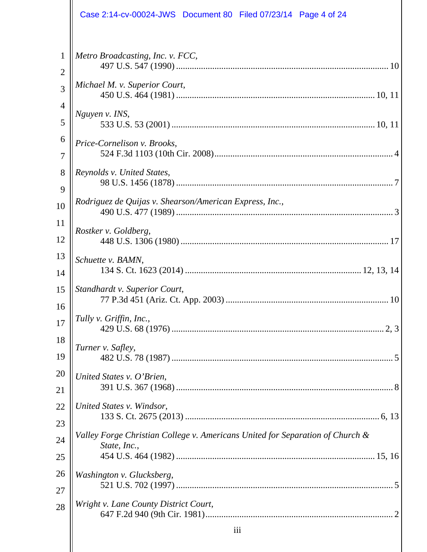|                | Case 2:14-cv-00024-JWS  Document 80  Filed 07/23/14  Page 4 of 24                             |
|----------------|-----------------------------------------------------------------------------------------------|
| 1              | Metro Broadcasting, Inc. v. FCC,                                                              |
| $\overline{2}$ |                                                                                               |
| 3              | Michael M. v. Superior Court,                                                                 |
| 4              | Nguyen v. INS,                                                                                |
| 5              |                                                                                               |
| 6              | Price-Cornelison v. Brooks,                                                                   |
| 7              |                                                                                               |
| 8              | Reynolds v. United States,                                                                    |
| 9              |                                                                                               |
| 10             | Rodriguez de Quijas v. Shearson/American Express, Inc.,                                       |
| 11             | Rostker v. Goldberg,                                                                          |
| 12             |                                                                                               |
| 13             | Schuette v. BAMN,                                                                             |
| 14             |                                                                                               |
| 15             | Standhardt v. Superior Court,                                                                 |
| 16             |                                                                                               |
| 17             | Tully v. Griffin, Inc.,                                                                       |
| 18             | Turner v. Safley,                                                                             |
| 19             |                                                                                               |
| 20             | United States v. O'Brien,                                                                     |
| 21             |                                                                                               |
| 22             | United States v. Windsor,                                                                     |
| 23             |                                                                                               |
| 24             | Valley Forge Christian College v. Americans United for Separation of Church &<br>State, Inc., |
| 25             |                                                                                               |
| 26             | Washington v. Glucksberg,                                                                     |
| 27             |                                                                                               |
| 28             | Wright v. Lane County District Court,                                                         |
|                | iii                                                                                           |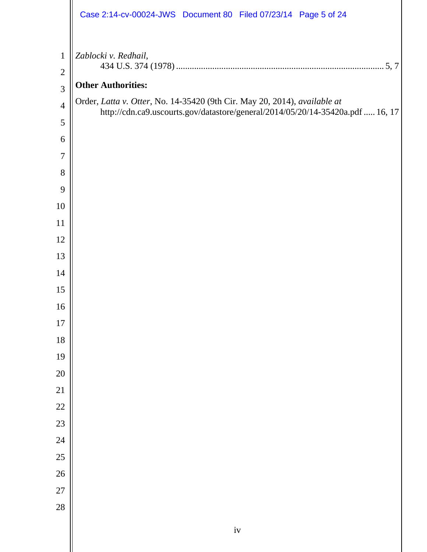|                                | Case 2:14-cv-00024-JWS Document 80 Filed 07/23/14 Page 5 of 24                 |
|--------------------------------|--------------------------------------------------------------------------------|
| $\mathbf{1}$<br>$\mathfrak{2}$ | Zablocki v. Redhail,                                                           |
| 3                              | <b>Other Authorities:</b>                                                      |
| $\overline{4}$                 | Order, Latta v. Otter, No. 14-35420 (9th Cir. May 20, 2014), available at      |
| 5                              | http://cdn.ca9.uscourts.gov/datastore/general/2014/05/20/14-35420a.pdf  16, 17 |
| 6                              |                                                                                |
| 7                              |                                                                                |
| 8                              |                                                                                |
| 9                              |                                                                                |
| 10                             |                                                                                |
| 11                             |                                                                                |
| 12                             |                                                                                |
| 13                             |                                                                                |
| 14                             |                                                                                |
| 15                             |                                                                                |
| 16                             |                                                                                |
| $17\,$                         |                                                                                |
| 18                             |                                                                                |
| 19<br>20                       |                                                                                |
| 21                             |                                                                                |
| 22                             |                                                                                |
| 23                             |                                                                                |
| 24                             |                                                                                |
| 25                             |                                                                                |
| 26                             |                                                                                |
| $27\,$                         |                                                                                |
| 28                             |                                                                                |
|                                | $\ensuremath{\text{i}}\ensuremath{\text{v}}$                                   |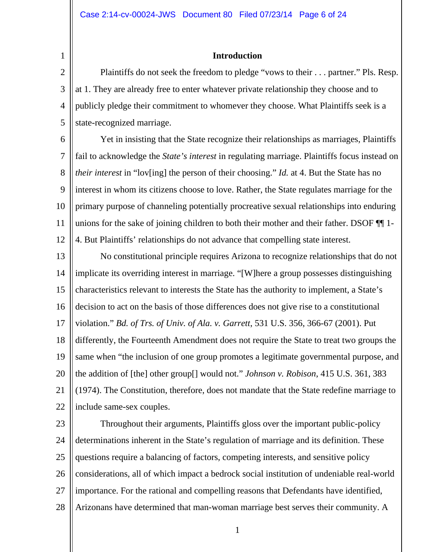1

#### **Introduction**

2 3 4 5 Plaintiffs do not seek the freedom to pledge "vows to their . . . partner." Pls. Resp. at 1. They are already free to enter whatever private relationship they choose and to publicly pledge their commitment to whomever they choose. What Plaintiffs seek is a state-recognized marriage.

6 7 8  $\mathbf Q$ 10 11 12 Yet in insisting that the State recognize their relationships as marriages, Plaintiffs fail to acknowledge the *State's interest* in regulating marriage. Plaintiffs focus instead on *their interest* in "lov[ing] the person of their choosing." *Id.* at 4. But the State has no interest in whom its citizens choose to love. Rather, the State regulates marriage for the primary purpose of channeling potentially procreative sexual relationships into enduring unions for the sake of joining children to both their mother and their father. DSOF ¶¶ 1- 4. But Plaintiffs' relationships do not advance that compelling state interest.

13 14 15 16 17 18 19 20 21 22 No constitutional principle requires Arizona to recognize relationships that do not implicate its overriding interest in marriage. "[W]here a group possesses distinguishing characteristics relevant to interests the State has the authority to implement, a State's decision to act on the basis of those differences does not give rise to a constitutional violation." *Bd. of Trs. of Univ. of Ala. v. Garrett*, 531 U.S. 356, 366-67 (2001). Put differently, the Fourteenth Amendment does not require the State to treat two groups the same when "the inclusion of one group promotes a legitimate governmental purpose, and the addition of [the] other group[] would not." *Johnson v. Robison*, 415 U.S. 361, 383 (1974). The Constitution, therefore, does not mandate that the State redefine marriage to include same-sex couples.

23 24 25 26 27 28 Throughout their arguments, Plaintiffs gloss over the important public-policy determinations inherent in the State's regulation of marriage and its definition. These questions require a balancing of factors, competing interests, and sensitive policy considerations, all of which impact a bedrock social institution of undeniable real-world importance. For the rational and compelling reasons that Defendants have identified, Arizonans have determined that man-woman marriage best serves their community. A

1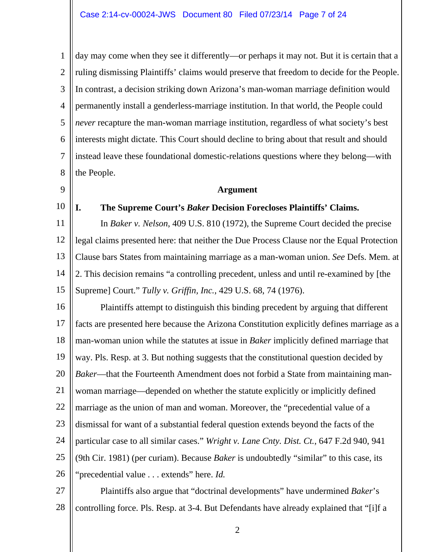1 2 3 4 5 6 7 8 day may come when they see it differently—or perhaps it may not. But it is certain that a ruling dismissing Plaintiffs' claims would preserve that freedom to decide for the People. In contrast, a decision striking down Arizona's man-woman marriage definition would permanently install a genderless-marriage institution. In that world, the People could *never* recapture the man-woman marriage institution, regardless of what society's best interests might dictate. This Court should decline to bring about that result and should instead leave these foundational domestic-relations questions where they belong—with the People.

#### **Argument**

10

 $\mathbf Q$ 

**I. The Supreme Court's** *Baker* **Decision Forecloses Plaintiffs' Claims.** 

11 12 13 14 15 In *Baker v. Nelson*, 409 U.S. 810 (1972), the Supreme Court decided the precise legal claims presented here: that neither the Due Process Clause nor the Equal Protection Clause bars States from maintaining marriage as a man-woman union. *See* Defs. Mem. at 2. This decision remains "a controlling precedent, unless and until re-examined by [the Supreme] Court." *Tully v. Griffin, Inc.*, 429 U.S. 68, 74 (1976).

16 17 18 19 20 21 22 23 24 25 26 Plaintiffs attempt to distinguish this binding precedent by arguing that different facts are presented here because the Arizona Constitution explicitly defines marriage as a man-woman union while the statutes at issue in *Baker* implicitly defined marriage that way. Pls. Resp. at 3. But nothing suggests that the constitutional question decided by *Baker*—that the Fourteenth Amendment does not forbid a State from maintaining manwoman marriage—depended on whether the statute explicitly or implicitly defined marriage as the union of man and woman. Moreover, the "precedential value of a dismissal for want of a substantial federal question extends beyond the facts of the particular case to all similar cases." *Wright v. Lane Cnty. Dist. Ct.*, 647 F.2d 940, 941 (9th Cir. 1981) (per curiam). Because *Baker* is undoubtedly "similar" to this case, its "precedential value . . . extends" here. *Id.*

27 28 Plaintiffs also argue that "doctrinal developments" have undermined *Baker*'s controlling force. Pls. Resp. at 3-4. But Defendants have already explained that "[i]f a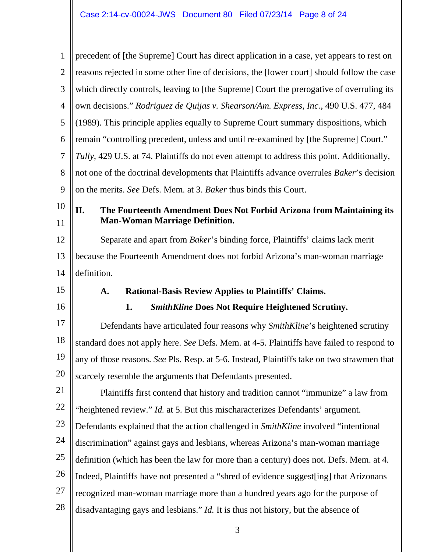| $\mathbf{1}$               | precedent of [the Supreme] Court has direct application in a case, yet appears to rest on   |  |  |
|----------------------------|---------------------------------------------------------------------------------------------|--|--|
| $\overline{2}$             | reasons rejected in some other line of decisions, the [lower court] should follow the case  |  |  |
| 3                          | which directly controls, leaving to [the Supreme] Court the prerogative of overruling its   |  |  |
| $\overline{4}$             | own decisions." Rodriguez de Quijas v. Shearson/Am. Express, Inc., 490 U.S. 477, 484        |  |  |
| 5                          | (1989). This principle applies equally to Supreme Court summary dispositions, which         |  |  |
| 6                          | remain "controlling precedent, unless and until re-examined by [the Supreme] Court."        |  |  |
| 7                          | Tully, 429 U.S. at 74. Plaintiffs do not even attempt to address this point. Additionally,  |  |  |
| 8                          | not one of the doctrinal developments that Plaintiffs advance overrules Baker's decision    |  |  |
| 9                          | on the merits. See Defs. Mem. at 3. Baker thus binds this Court.                            |  |  |
| 10                         | II.<br>The Fourteenth Amendment Does Not Forbid Arizona from Maintaining its                |  |  |
| 11                         | <b>Man-Woman Marriage Definition.</b>                                                       |  |  |
| 12                         | Separate and apart from <i>Baker</i> 's binding force, Plaintiffs' claims lack merit        |  |  |
| 13                         | because the Fourteenth Amendment does not forbid Arizona's man-woman marriage               |  |  |
| 14                         | definition.                                                                                 |  |  |
|                            |                                                                                             |  |  |
| 15                         | Rational-Basis Review Applies to Plaintiffs' Claims.<br>A.                                  |  |  |
| 16                         | 1.<br><b>SmithKline Does Not Require Heightened Scrutiny.</b>                               |  |  |
| 17                         | Defendants have articulated four reasons why SmithKline's heightened scrutiny               |  |  |
| 18                         | standard does not apply here. See Defs. Mem. at 4-5. Plaintiffs have failed to respond to   |  |  |
| 19                         | any of those reasons. See Pls. Resp. at 5-6. Instead, Plaintiffs take on two strawmen that  |  |  |
|                            | scarcely resemble the arguments that Defendants presented.                                  |  |  |
|                            | Plaintiffs first contend that history and tradition cannot "immunize" a law from            |  |  |
|                            | "heightened review." <i>Id.</i> at 5. But this mischaracterizes Defendants' argument.       |  |  |
|                            | Defendants explained that the action challenged in <i>SmithKline</i> involved "intentional" |  |  |
| 20<br>21<br>22<br>23<br>24 | discrimination" against gays and lesbians, whereas Arizona's man-woman marriage             |  |  |
| 25                         | definition (which has been the law for more than a century) does not. Defs. Mem. at 4.      |  |  |
| 26                         | Indeed, Plaintiffs have not presented a "shred of evidence suggest[ing] that Arizonans      |  |  |
| 27                         | recognized man-woman marriage more than a hundred years ago for the purpose of              |  |  |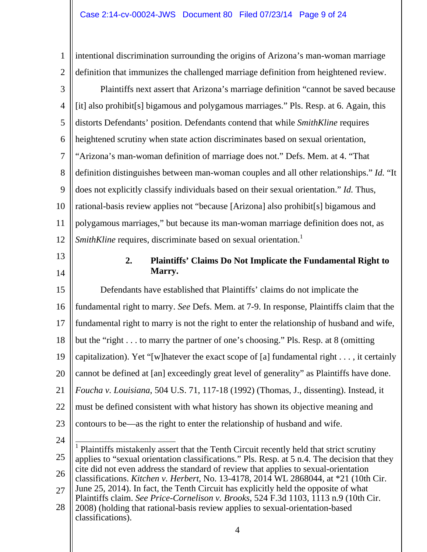1 2 3 4 5 6 7 8  $\mathbf Q$ 10 11 12 13 14 15 16 17 18 19 20 21 22 23 24 intentional discrimination surrounding the origins of Arizona's man-woman marriage definition that immunizes the challenged marriage definition from heightened review. Plaintiffs next assert that Arizona's marriage definition "cannot be saved because [it] also prohibit[s] bigamous and polygamous marriages." Pls. Resp. at 6. Again, this distorts Defendants' position. Defendants contend that while *SmithKline* requires heightened scrutiny when state action discriminates based on sexual orientation, "Arizona's man-woman definition of marriage does not." Defs. Mem. at 4. "That definition distinguishes between man-woman couples and all other relationships." *Id.* "It does not explicitly classify individuals based on their sexual orientation." *Id.* Thus, rational-basis review applies not "because [Arizona] also prohibit[s] bigamous and polygamous marriages," but because its man-woman marriage definition does not, as *SmithKline* requires, discriminate based on sexual orientation.<sup>1</sup> **2. Plaintiffs' Claims Do Not Implicate the Fundamental Right to Marry.**  Defendants have established that Plaintiffs' claims do not implicate the fundamental right to marry. *See* Defs. Mem. at 7-9. In response, Plaintiffs claim that the fundamental right to marry is not the right to enter the relationship of husband and wife, but the "right . . . to marry the partner of one's choosing." Pls. Resp. at 8 (omitting capitalization). Yet "[w]hatever the exact scope of [a] fundamental right . . . , it certainly cannot be defined at [an] exceedingly great level of generality" as Plaintiffs have done. *Foucha v. Louisiana*, 504 U.S. 71, 117-18 (1992) (Thomas, J., dissenting). Instead, it must be defined consistent with what history has shown its objective meaning and contours to be—as the right to enter the relationship of husband and wife.

<sup>25</sup> 26 27 <sup>1</sup> Plaintiffs mistakenly assert that the Tenth Circuit recently held that strict scrutiny applies to "sexual orientation classifications." Pls. Resp. at 5 n.4. The decision that they cite did not even address the standard of review that applies to sexual-orientation classifications. *Kitchen v. Herbert*, No. 13-4178, 2014 WL 2868044, at \*21 (10th Cir. June 25, 2014). In fact, the Tenth Circuit has explicitly held the opposite of what Plaintiffs claim. *See Price-Cornelison v. Brooks*, 524 F.3d 1103, 1113 n.9 (10th Cir.

<sup>28</sup> 2008) (holding that rational-basis review applies to sexual-orientation-based classifications).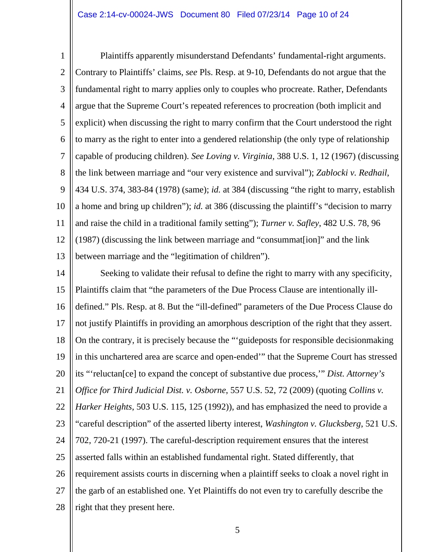1 2 3 4 5 6 7 8  $\mathbf Q$ 10 11 12 13 Plaintiffs apparently misunderstand Defendants' fundamental-right arguments. Contrary to Plaintiffs' claims, *see* Pls. Resp. at 9-10, Defendants do not argue that the fundamental right to marry applies only to couples who procreate. Rather, Defendants argue that the Supreme Court's repeated references to procreation (both implicit and explicit) when discussing the right to marry confirm that the Court understood the right to marry as the right to enter into a gendered relationship (the only type of relationship capable of producing children). *See Loving v. Virginia*, 388 U.S. 1, 12 (1967) (discussing the link between marriage and "our very existence and survival"); *Zablocki v. Redhail*, 434 U.S. 374, 383-84 (1978) (same); *id.* at 384 (discussing "the right to marry, establish a home and bring up children"); *id.* at 386 (discussing the plaintiff's "decision to marry and raise the child in a traditional family setting"); *Turner v. Safley*, 482 U.S. 78, 96 (1987) (discussing the link between marriage and "consummat[ion]" and the link between marriage and the "legitimation of children").

14 15 16 17 18 19 20 21 22 23 24 25 26 27 28 Seeking to validate their refusal to define the right to marry with any specificity, Plaintiffs claim that "the parameters of the Due Process Clause are intentionally illdefined." Pls. Resp. at 8. But the "ill-defined" parameters of the Due Process Clause do not justify Plaintiffs in providing an amorphous description of the right that they assert. On the contrary, it is precisely because the "'guideposts for responsible decisionmaking in this unchartered area are scarce and open-ended'" that the Supreme Court has stressed its "'reluctan[ce] to expand the concept of substantive due process,'" *Dist. Attorney's Office for Third Judicial Dist. v. Osborne*, 557 U.S. 52, 72 (2009) (quoting *Collins v. Harker Heights*, 503 U.S. 115, 125 (1992)), and has emphasized the need to provide a "careful description" of the asserted liberty interest, *Washington v. Glucksberg*, 521 U.S. 702, 720-21 (1997). The careful-description requirement ensures that the interest asserted falls within an established fundamental right. Stated differently, that requirement assists courts in discerning when a plaintiff seeks to cloak a novel right in the garb of an established one. Yet Plaintiffs do not even try to carefully describe the right that they present here.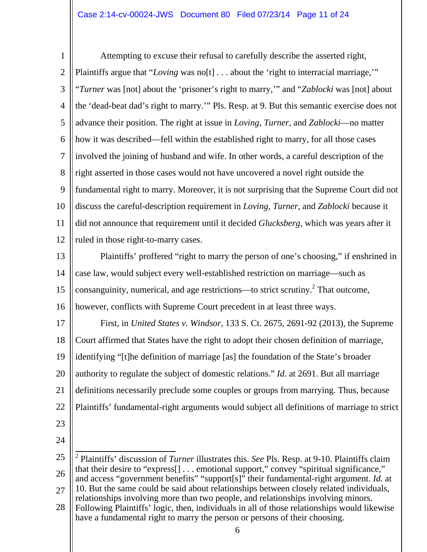1 2 3 4 5 6 7 8  $\mathbf Q$ 10 11 12 Attempting to excuse their refusal to carefully describe the asserted right, Plaintiffs argue that "*Loving* was no<sup>[t]</sup> . . . about the 'right to interracial marriage,'" "*Turner* was [not] about the 'prisoner's right to marry,'" and "*Zablocki* was [not] about the 'dead-beat dad's right to marry.'" Pls. Resp. at 9. But this semantic exercise does not advance their position. The right at issue in *Loving*, *Turner*, and *Zablocki*—no matter how it was described—fell within the established right to marry, for all those cases involved the joining of husband and wife. In other words, a careful description of the right asserted in those cases would not have uncovered a novel right outside the fundamental right to marry. Moreover, it is not surprising that the Supreme Court did not discuss the careful-description requirement in *Loving*, *Turner*, and *Zablocki* because it did not announce that requirement until it decided *Glucksberg*, which was years after it ruled in those right-to-marry cases.

13 14 15 16 Plaintiffs' proffered "right to marry the person of one's choosing," if enshrined in case law, would subject every well-established restriction on marriage—such as consanguinity, numerical, and age restrictions—to strict scrutiny.<sup>2</sup> That outcome, however, conflicts with Supreme Court precedent in at least three ways.

17 18 19 20 21 22 First, in *United States v. Windsor*, 133 S. Ct. 2675, 2691-92 (2013), the Supreme Court affirmed that States have the right to adopt their chosen definition of marriage, identifying "[t]he definition of marriage [as] the foundation of the State's broader authority to regulate the subject of domestic relations." *Id.* at 2691. But all marriage definitions necessarily preclude some couples or groups from marrying. Thus, because Plaintiffs' fundamental-right arguments would subject all definitions of marriage to strict

- 23
- 24

<sup>25</sup> 26 27 28 2 Plaintiffs' discussion of *Turner* illustrates this. *See* Pls. Resp. at 9-10. Plaintiffs claim that their desire to "express[] . . . emotional support," convey "spiritual significance," and access "government benefits" "support[s]" their fundamental-right argument. *Id.* at 10. But the same could be said about relationships between closely related individuals, relationships involving more than two people, and relationships involving minors. Following Plaintiffs' logic, then, individuals in all of those relationships would likewise have a fundamental right to marry the person or persons of their choosing.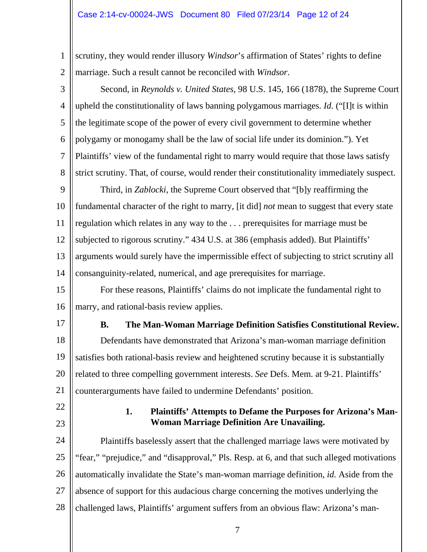1 2 scrutiny, they would render illusory *Windsor*'s affirmation of States' rights to define marriage. Such a result cannot be reconciled with *Windsor*.

3 4 5 6 7 8  $\mathbf Q$ 10 11 12 13 14 15 16 17 18 19 20 21 22 23 24 25 26 27 28 Second, in *Reynolds v. United States*, 98 U.S. 145, 166 (1878), the Supreme Court upheld the constitutionality of laws banning polygamous marriages. *Id.* ("[I]t is within the legitimate scope of the power of every civil government to determine whether polygamy or monogamy shall be the law of social life under its dominion."). Yet Plaintiffs' view of the fundamental right to marry would require that those laws satisfy strict scrutiny. That, of course, would render their constitutionality immediately suspect. Third, in *Zablocki*, the Supreme Court observed that "[b]y reaffirming the fundamental character of the right to marry, [it did] *not* mean to suggest that every state regulation which relates in any way to the . . . prerequisites for marriage must be subjected to rigorous scrutiny." 434 U.S. at 386 (emphasis added). But Plaintiffs' arguments would surely have the impermissible effect of subjecting to strict scrutiny all consanguinity-related, numerical, and age prerequisites for marriage. For these reasons, Plaintiffs' claims do not implicate the fundamental right to marry, and rational-basis review applies. **B. The Man-Woman Marriage Definition Satisfies Constitutional Review.**  Defendants have demonstrated that Arizona's man-woman marriage definition satisfies both rational-basis review and heightened scrutiny because it is substantially related to three compelling government interests. *See* Defs. Mem. at 9-21. Plaintiffs' counterarguments have failed to undermine Defendants' position. **1. Plaintiffs' Attempts to Defame the Purposes for Arizona's Man-Woman Marriage Definition Are Unavailing.**  Plaintiffs baselessly assert that the challenged marriage laws were motivated by "fear," "prejudice," and "disapproval," Pls. Resp. at 6, and that such alleged motivations automatically invalidate the State's man-woman marriage definition, *id.* Aside from the absence of support for this audacious charge concerning the motives underlying the challenged laws, Plaintiffs' argument suffers from an obvious flaw: Arizona's man-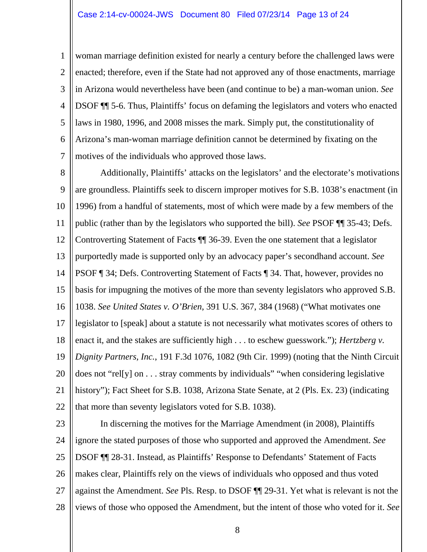1 2 3 4 5 6 7 woman marriage definition existed for nearly a century before the challenged laws were enacted; therefore, even if the State had not approved any of those enactments, marriage in Arizona would nevertheless have been (and continue to be) a man-woman union. *See*  DSOF ¶¶ 5-6. Thus, Plaintiffs' focus on defaming the legislators and voters who enacted laws in 1980, 1996, and 2008 misses the mark. Simply put, the constitutionality of Arizona's man-woman marriage definition cannot be determined by fixating on the motives of the individuals who approved those laws.

8  $\mathbf Q$ 10 11 12 13 14 15 16 17 18 19 20 21 22 Additionally, Plaintiffs' attacks on the legislators' and the electorate's motivations are groundless. Plaintiffs seek to discern improper motives for S.B. 1038's enactment (in 1996) from a handful of statements, most of which were made by a few members of the public (rather than by the legislators who supported the bill). *See* PSOF ¶¶ 35-43; Defs. Controverting Statement of Facts ¶¶ 36-39. Even the one statement that a legislator purportedly made is supported only by an advocacy paper's secondhand account. *See* PSOF ¶ 34; Defs. Controverting Statement of Facts ¶ 34. That, however, provides no basis for impugning the motives of the more than seventy legislators who approved S.B. 1038. *See United States v. O'Brien*, 391 U.S. 367, 384 (1968) ("What motivates one legislator to [speak] about a statute is not necessarily what motivates scores of others to enact it, and the stakes are sufficiently high . . . to eschew guesswork."); *Hertzberg v*. *Dignity Partners, Inc.*, 191 F.3d 1076, 1082 (9th Cir. 1999) (noting that the Ninth Circuit does not "rel[y] on . . . stray comments by individuals" "when considering legislative history"); Fact Sheet for S.B. 1038, Arizona State Senate, at 2 (Pls. Ex. 23) (indicating that more than seventy legislators voted for S.B. 1038).

23 24 25 26 27 28 In discerning the motives for the Marriage Amendment (in 2008), Plaintiffs ignore the stated purposes of those who supported and approved the Amendment. *See* DSOF ¶¶ 28-31. Instead, as Plaintiffs' Response to Defendants' Statement of Facts makes clear, Plaintiffs rely on the views of individuals who opposed and thus voted against the Amendment. *See* Pls. Resp. to DSOF ¶¶ 29-31. Yet what is relevant is not the views of those who opposed the Amendment, but the intent of those who voted for it. *See*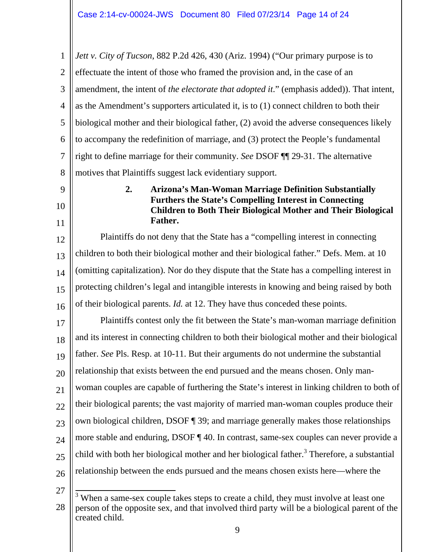1  $\mathcal{D}_{\mathcal{L}}$ 3 4 5 6 7 8 *Jett v. City of Tucson*, 882 P.2d 426, 430 (Ariz. 1994) ("Our primary purpose is to effectuate the intent of those who framed the provision and, in the case of an amendment, the intent of *the electorate that adopted it*." (emphasis added)). That intent, as the Amendment's supporters articulated it, is to (1) connect children to both their biological mother and their biological father, (2) avoid the adverse consequences likely to accompany the redefinition of marriage, and (3) protect the People's fundamental right to define marriage for their community. *See* DSOF ¶¶ 29-31. The alternative motives that Plaintiffs suggest lack evidentiary support.

- $\mathbf Q$
- 10 11

**2. Arizona's Man-Woman Marriage Definition Substantially Furthers the State's Compelling Interest in Connecting Children to Both Their Biological Mother and Their Biological Father.** 

12 13 14 15 16 Plaintiffs do not deny that the State has a "compelling interest in connecting children to both their biological mother and their biological father." Defs. Mem. at 10 (omitting capitalization). Nor do they dispute that the State has a compelling interest in protecting children's legal and intangible interests in knowing and being raised by both of their biological parents. *Id.* at 12. They have thus conceded these points.

17 18 19 20 21 22 23 24 25 26 Plaintiffs contest only the fit between the State's man-woman marriage definition and its interest in connecting children to both their biological mother and their biological father. *See* Pls. Resp. at 10-11. But their arguments do not undermine the substantial relationship that exists between the end pursued and the means chosen. Only manwoman couples are capable of furthering the State's interest in linking children to both of their biological parents; the vast majority of married man-woman couples produce their own biological children, DSOF ¶ 39; and marriage generally makes those relationships more stable and enduring, DSOF ¶ 40. In contrast, same-sex couples can never provide a child with both her biological mother and her biological father.<sup>3</sup> Therefore, a substantial relationship between the ends pursued and the means chosen exists here—where the

27

<sup>28</sup> <sup>3</sup> When a same-sex couple takes steps to create a child, they must involve at least one person of the opposite sex, and that involved third party will be a biological parent of the created child.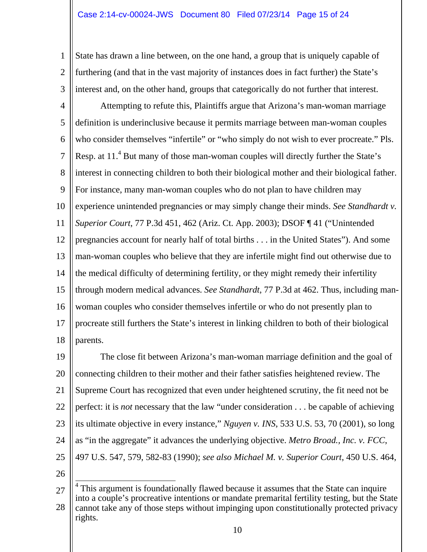1 2 3 State has drawn a line between, on the one hand, a group that is uniquely capable of furthering (and that in the vast majority of instances does in fact further) the State's interest and, on the other hand, groups that categorically do not further that interest.

4 5 6 7 8  $\mathbf Q$ 10 11 12 13 14 15 16 17 18 Attempting to refute this, Plaintiffs argue that Arizona's man-woman marriage definition is underinclusive because it permits marriage between man-woman couples who consider themselves "infertile" or "who simply do not wish to ever procreate." Pls. Resp. at  $11<sup>4</sup>$  But many of those man-woman couples will directly further the State's interest in connecting children to both their biological mother and their biological father. For instance, many man-woman couples who do not plan to have children may experience unintended pregnancies or may simply change their minds. *See Standhardt v. Superior Court*, 77 P.3d 451, 462 (Ariz. Ct. App. 2003); DSOF ¶ 41 ("Unintended pregnancies account for nearly half of total births . . . in the United States"). And some man-woman couples who believe that they are infertile might find out otherwise due to the medical difficulty of determining fertility, or they might remedy their infertility through modern medical advances. *See Standhardt*, 77 P.3d at 462. Thus, including manwoman couples who consider themselves infertile or who do not presently plan to procreate still furthers the State's interest in linking children to both of their biological parents.

19 20 21 22 23 24 25 The close fit between Arizona's man-woman marriage definition and the goal of connecting children to their mother and their father satisfies heightened review. The Supreme Court has recognized that even under heightened scrutiny, the fit need not be perfect: it is *not* necessary that the law "under consideration . . . be capable of achieving its ultimate objective in every instance," *Nguyen v. INS*, 533 U.S. 53, 70 (2001), so long as "in the aggregate" it advances the underlying objective. *Metro Broad., Inc. v. FCC*, 497 U.S. 547, 579, 582-83 (1990); *see also Michael M. v. Superior Court*, 450 U.S. 464,

26

<sup>27</sup> 28 <sup>4</sup> This argument is foundationally flawed because it assumes that the State can inquire into a couple's procreative intentions or mandate premarital fertility testing, but the State cannot take any of those steps without impinging upon constitutionally protected privacy rights.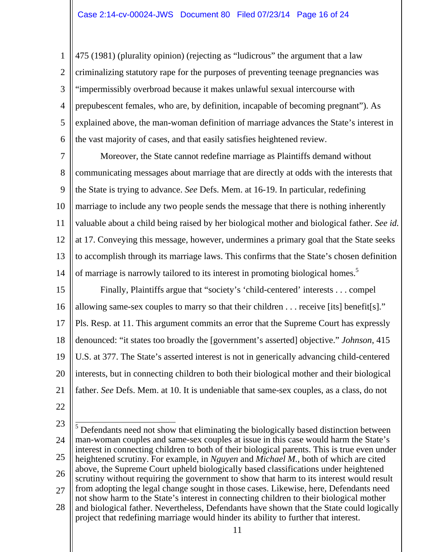1 2 3 4 5 6 475 (1981) (plurality opinion) (rejecting as "ludicrous" the argument that a law criminalizing statutory rape for the purposes of preventing teenage pregnancies was "impermissibly overbroad because it makes unlawful sexual intercourse with prepubescent females, who are, by definition, incapable of becoming pregnant"). As explained above, the man-woman definition of marriage advances the State's interest in the vast majority of cases, and that easily satisfies heightened review.

7 8  $\overline{Q}$ 10 11 12 13 14 Moreover, the State cannot redefine marriage as Plaintiffs demand without communicating messages about marriage that are directly at odds with the interests that the State is trying to advance. *See* Defs. Mem. at 16-19. In particular, redefining marriage to include any two people sends the message that there is nothing inherently valuable about a child being raised by her biological mother and biological father. *See id.* at 17. Conveying this message, however, undermines a primary goal that the State seeks to accomplish through its marriage laws. This confirms that the State's chosen definition of marriage is narrowly tailored to its interest in promoting biological homes.<sup>5</sup>

15 16 17 18 19 20 21 22 Finally, Plaintiffs argue that "society's 'child-centered' interests . . . compel allowing same-sex couples to marry so that their children . . . receive [its] benefit[s]." Pls. Resp. at 11. This argument commits an error that the Supreme Court has expressly denounced: "it states too broadly the [government's asserted] objective." *Johnson*, 415 U.S. at 377. The State's asserted interest is not in generically advancing child-centered interests, but in connecting children to both their biological mother and their biological father. *See* Defs. Mem. at 10. It is undeniable that same-sex couples, as a class, do not

<sup>23</sup> 24 25 26 27 28 <sup>5</sup> Defendants need not show that eliminating the biologically based distinction between man-woman couples and same-sex couples at issue in this case would harm the State's interest in connecting children to both of their biological parents. This is true even under heightened scrutiny. For example, in *Nguyen* and *Michael M.*, both of which are cited above, the Supreme Court upheld biologically based classifications under heightened scrutiny without requiring the government to show that harm to its interest would result from adopting the legal change sought in those cases. Likewise, here, Defendants need not show harm to the State's interest in connecting children to their biological mother and biological father. Nevertheless, Defendants have shown that the State could logically project that redefining marriage would hinder its ability to further that interest.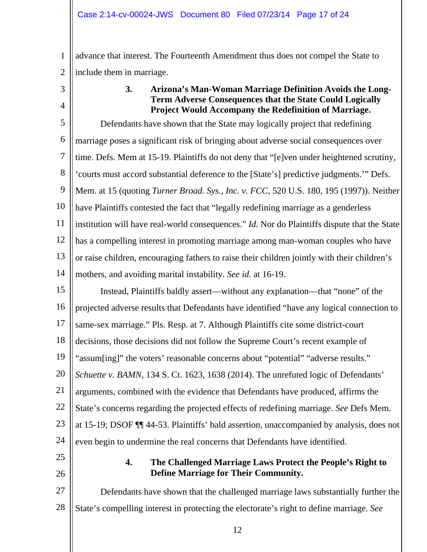1 2 advance that interest. The Fourteenth Amendment thus does not compel the State to include them in marriage.

3

4

## **3. Arizona's Man-Woman Marriage Definition Avoids the Long-Term Adverse Consequences that the State Could Logically Project Would Accompany the Redefinition of Marriage.**

5 6 7 8 9 10 11 12 13 14 Defendants have shown that the State may logically project that redefining marriage poses a significant risk of bringing about adverse social consequences over time. Defs. Mem at 15-19. Plaintiffs do not deny that "[e]ven under heightened scrutiny, 'courts must accord substantial deference to the [State's] predictive judgments.'" Defs. Mem. at 15 (quoting *Turner Broad. Sys., Inc. v. FCC*, 520 U.S. 180, 195 (1997)). Neither have Plaintiffs contested the fact that "legally redefining marriage as a genderless institution will have real-world consequences." *Id.* Nor do Plaintiffs dispute that the State has a compelling interest in promoting marriage among man-woman couples who have or raise children, encouraging fathers to raise their children jointly with their children's mothers, and avoiding marital instability. *See id.* at 16-19.

15 16 17 18 19 20 21 22 23 24 Instead, Plaintiffs baldly assert—without any explanation—that "none" of the projected adverse results that Defendants have identified "have any logical connection to same-sex marriage." Pls. Resp. at 7. Although Plaintiffs cite some district-court decisions, those decisions did not follow the Supreme Court's recent example of "assum[ing]" the voters' reasonable concerns about "potential" "adverse results." *Schuette v. BAMN*, 134 S. Ct. 1623, 1638 (2014). The unrefuted logic of Defendants' arguments, combined with the evidence that Defendants have produced, affirms the State's concerns regarding the projected effects of redefining marriage. *See* Defs Mem. at 15-19; DSOF ¶¶ 44-53. Plaintiffs' bald assertion, unaccompanied by analysis, does not even begin to undermine the real concerns that Defendants have identified.

- 25
- 26

### **4. The Challenged Marriage Laws Protect the People's Right to Define Marriage for Their Community.**

27 28 Defendants have shown that the challenged marriage laws substantially further the State's compelling interest in protecting the electorate's right to define marriage. *See*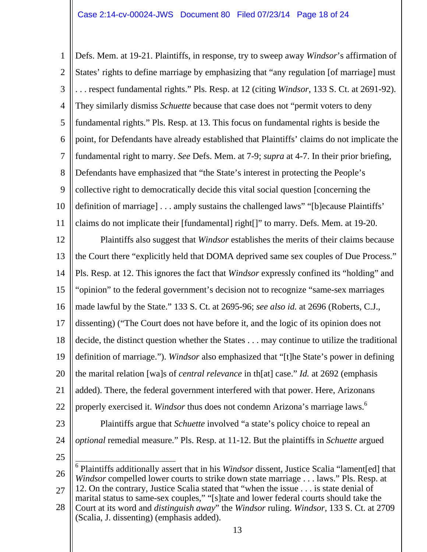1 2 3 4 5 6 7 8  $\mathbf Q$ 10 11 12 13 14 15 16 17 18 19 20 21 22 23 24 25 26 Defs. Mem. at 19-21. Plaintiffs, in response, try to sweep away *Windsor*'s affirmation of States' rights to define marriage by emphasizing that "any regulation [of marriage] must . . . respect fundamental rights." Pls. Resp. at 12 (citing *Windsor*, 133 S. Ct. at 2691-92). They similarly dismiss *Schuette* because that case does not "permit voters to deny fundamental rights." Pls. Resp. at 13. This focus on fundamental rights is beside the point, for Defendants have already established that Plaintiffs' claims do not implicate the fundamental right to marry. *See* Defs. Mem. at 7-9; *supra* at 4-7. In their prior briefing, Defendants have emphasized that "the State's interest in protecting the People's collective right to democratically decide this vital social question [concerning the definition of marriage] . . . amply sustains the challenged laws" "[b]ecause Plaintiffs' claims do not implicate their [fundamental] right[]" to marry. Defs. Mem. at 19-20. Plaintiffs also suggest that *Windsor* establishes the merits of their claims because the Court there "explicitly held that DOMA deprived same sex couples of Due Process." Pls. Resp. at 12. This ignores the fact that *Windsor* expressly confined its "holding" and "opinion" to the federal government's decision not to recognize "same-sex marriages made lawful by the State." 133 S. Ct. at 2695-96; *see also id.* at 2696 (Roberts, C.J., dissenting) ("The Court does not have before it, and the logic of its opinion does not decide, the distinct question whether the States . . . may continue to utilize the traditional definition of marriage."). *Windsor* also emphasized that "[t]he State's power in defining the marital relation [wa]s of *central relevance* in th[at] case." *Id.* at 2692 (emphasis added). There, the federal government interfered with that power. Here, Arizonans properly exercised it. *Windsor* thus does not condemn Arizona's marriage laws.<sup>6</sup> Plaintiffs argue that *Schuette* involved "a state's policy choice to repeal an *optional* remedial measure." Pls. Resp. at 11-12. But the plaintiffs in *Schuette* argued 6 Plaintiffs additionally assert that in his *Windsor* dissent, Justice Scalia "lament[ed] that *Windsor* compelled lower courts to strike down state marriage . . . laws." Pls. Resp. at

27 28 12. On the contrary, Justice Scalia stated that "when the issue . . . is state denial of marital status to same-sex couples," "[s]tate and lower federal courts should take the Court at its word and *distinguish away*" the *Windsor* ruling. *Windsor*, 133 S. Ct. at 2709 (Scalia, J. dissenting) (emphasis added).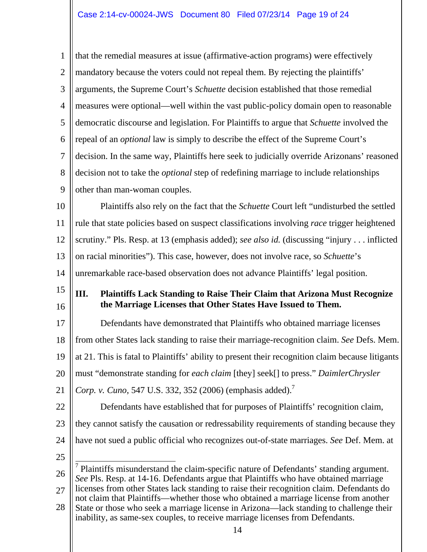1 2 3 4 5 6 7 8  $\mathbf Q$ 10 11 12 13 14 15 16 17 18 19 20 21 22 23 24 25 26 27 28 that the remedial measures at issue (affirmative-action programs) were effectively mandatory because the voters could not repeal them. By rejecting the plaintiffs' arguments, the Supreme Court's *Schuette* decision established that those remedial measures were optional—well within the vast public-policy domain open to reasonable democratic discourse and legislation. For Plaintiffs to argue that *Schuette* involved the repeal of an *optional* law is simply to describe the effect of the Supreme Court's decision. In the same way, Plaintiffs here seek to judicially override Arizonans' reasoned decision not to take the *optional* step of redefining marriage to include relationships other than man-woman couples. Plaintiffs also rely on the fact that the *Schuette* Court left "undisturbed the settled rule that state policies based on suspect classifications involving *race* trigger heightened scrutiny." Pls. Resp. at 13 (emphasis added); *see also id.* (discussing "injury . . . inflicted on racial minorities"). This case, however, does not involve race, so *Schuette*'s unremarkable race-based observation does not advance Plaintiffs' legal position. **III. Plaintiffs Lack Standing to Raise Their Claim that Arizona Must Recognize the Marriage Licenses that Other States Have Issued to Them.**  Defendants have demonstrated that Plaintiffs who obtained marriage licenses from other States lack standing to raise their marriage-recognition claim. *See* Defs. Mem. at 21. This is fatal to Plaintiffs' ability to present their recognition claim because litigants must "demonstrate standing for *each claim* [they] seek[] to press." *DaimlerChrysler Corp. v. Cuno*, 547 U.S. 332, 352 (2006) (emphasis added).<sup>7</sup> Defendants have established that for purposes of Plaintiffs' recognition claim, they cannot satisfy the causation or redressability requirements of standing because they have not sued a public official who recognizes out-of-state marriages. *See* Def. Mem. at <sup>7</sup> Plaintiffs misunderstand the claim-specific nature of Defendants' standing argument. *See* Pls. Resp. at 14-16. Defendants argue that Plaintiffs who have obtained marriage licenses from other States lack standing to raise their recognition claim. Defendants do not claim that Plaintiffs—whether those who obtained a marriage license from another State or those who seek a marriage license in Arizona—lack standing to challenge their inability, as same-sex couples, to receive marriage licenses from Defendants.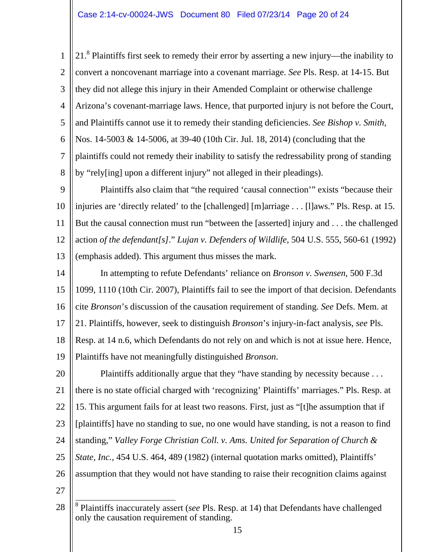1 2 3 4 5 6 7 8 21.<sup>8</sup> Plaintiffs first seek to remedy their error by asserting a new injury—the inability to convert a noncovenant marriage into a covenant marriage. *See* Pls. Resp. at 14-15. But they did not allege this injury in their Amended Complaint or otherwise challenge Arizona's covenant-marriage laws. Hence, that purported injury is not before the Court, and Plaintiffs cannot use it to remedy their standing deficiencies. *See Bishop v. Smith*, Nos. 14-5003 & 14-5006, at 39-40 (10th Cir. Jul. 18, 2014) (concluding that the plaintiffs could not remedy their inability to satisfy the redressability prong of standing by "rely[ing] upon a different injury" not alleged in their pleadings).

 $\mathbf Q$ 10 11 12 13 Plaintiffs also claim that "the required 'causal connection'" exists "because their injuries are 'directly related' to the [challenged] [m]arriage . . . [l]aws." Pls. Resp. at 15. But the causal connection must run "between the [asserted] injury and . . . the challenged action *of the defendant[s]*." *Lujan v. Defenders of Wildlife*, 504 U.S. 555, 560-61 (1992) (emphasis added). This argument thus misses the mark.

14 15 16 17 18 19 In attempting to refute Defendants' reliance on *Bronson v. Swensen*, 500 F.3d 1099, 1110 (10th Cir. 2007), Plaintiffs fail to see the import of that decision. Defendants cite *Bronson*'s discussion of the causation requirement of standing. *See* Defs. Mem. at 21. Plaintiffs, however, seek to distinguish *Bronson*'s injury-in-fact analysis, *see* Pls. Resp. at 14 n.6, which Defendants do not rely on and which is not at issue here. Hence, Plaintiffs have not meaningfully distinguished *Bronson*.

20 21 22 23 24 25 26 27 Plaintiffs additionally argue that they "have standing by necessity because . . . there is no state official charged with 'recognizing' Plaintiffs' marriages." Pls. Resp. at 15. This argument fails for at least two reasons. First, just as "[t]he assumption that if [plaintiffs] have no standing to sue, no one would have standing, is not a reason to find standing," *Valley Forge Christian Coll. v. Ams. United for Separation of Church & State, Inc.*, 454 U.S. 464, 489 (1982) (internal quotation marks omitted), Plaintiffs' assumption that they would not have standing to raise their recognition claims against

<sup>28</sup> 8 Plaintiffs inaccurately assert (*see* Pls. Resp. at 14) that Defendants have challenged only the causation requirement of standing.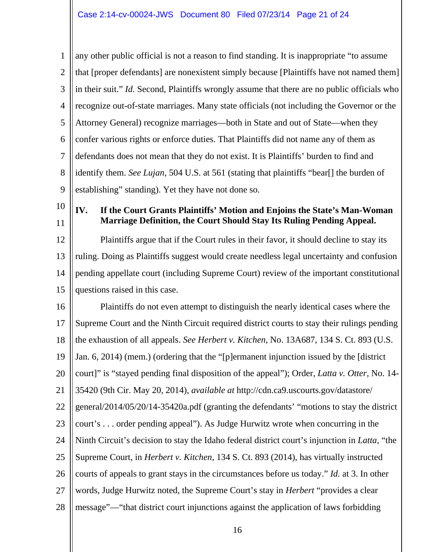1 2 3 4 5 6 7 8  $\mathbf Q$ any other public official is not a reason to find standing. It is inappropriate "to assume that [proper defendants] are nonexistent simply because [Plaintiffs have not named them] in their suit." *Id.* Second, Plaintiffs wrongly assume that there are no public officials who recognize out-of-state marriages. Many state officials (not including the Governor or the Attorney General) recognize marriages—both in State and out of State—when they confer various rights or enforce duties. That Plaintiffs did not name any of them as defendants does not mean that they do not exist. It is Plaintiffs' burden to find and identify them. *See Lujan*, 504 U.S. at 561 (stating that plaintiffs "bear[] the burden of establishing" standing). Yet they have not done so.

10 11

### **IV. If the Court Grants Plaintiffs' Motion and Enjoins the State's Man-Woman Marriage Definition, the Court Should Stay Its Ruling Pending Appeal.**

12 13 14 15 Plaintiffs argue that if the Court rules in their favor, it should decline to stay its ruling. Doing as Plaintiffs suggest would create needless legal uncertainty and confusion pending appellate court (including Supreme Court) review of the important constitutional questions raised in this case.

16 17 18 19 20 21 22 23 24 25 26 27 28 Plaintiffs do not even attempt to distinguish the nearly identical cases where the Supreme Court and the Ninth Circuit required district courts to stay their rulings pending the exhaustion of all appeals. *See Herbert v. Kitchen*, No. 13A687, 134 S. Ct. 893 (U.S. Jan. 6, 2014) (mem.) (ordering that the "[p]ermanent injunction issued by the [district court]" is "stayed pending final disposition of the appeal"); Order, *Latta v. Otter*, No. 14- 35420 (9th Cir. May 20, 2014), *available at* http://cdn.ca9.uscourts.gov/datastore/ general/2014/05/20/14-35420a.pdf (granting the defendants' "motions to stay the district court's . . . order pending appeal"). As Judge Hurwitz wrote when concurring in the Ninth Circuit's decision to stay the Idaho federal district court's injunction in *Latta*, "the Supreme Court, in *Herbert v. Kitchen*, 134 S. Ct. 893 (2014), has virtually instructed courts of appeals to grant stays in the circumstances before us today." *Id.* at 3. In other words, Judge Hurwitz noted, the Supreme Court's stay in *Herbert* "provides a clear message"—"that district court injunctions against the application of laws forbidding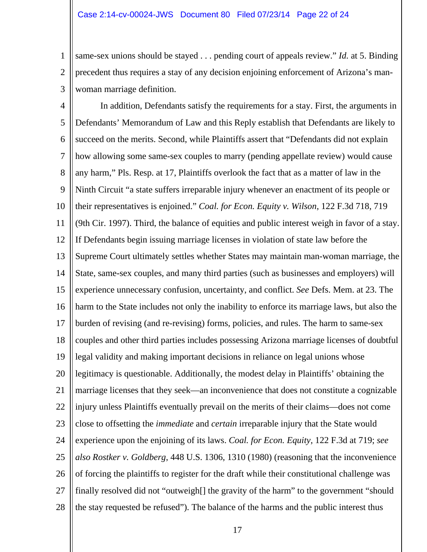1 2 3 same-sex unions should be stayed . . . pending court of appeals review." *Id.* at 5. Binding precedent thus requires a stay of any decision enjoining enforcement of Arizona's manwoman marriage definition.

4 5 6 7 8  $\mathbf Q$ 10 11 12 13 14 15 16 17 18 19 20 21 22 23 24 25 26 27 28 In addition, Defendants satisfy the requirements for a stay. First, the arguments in Defendants' Memorandum of Law and this Reply establish that Defendants are likely to succeed on the merits. Second, while Plaintiffs assert that "Defendants did not explain how allowing some same-sex couples to marry (pending appellate review) would cause any harm," Pls. Resp. at 17, Plaintiffs overlook the fact that as a matter of law in the Ninth Circuit "a state suffers irreparable injury whenever an enactment of its people or their representatives is enjoined." *Coal. for Econ. Equity v. Wilson*, 122 F.3d 718, 719 (9th Cir. 1997). Third, the balance of equities and public interest weigh in favor of a stay. If Defendants begin issuing marriage licenses in violation of state law before the Supreme Court ultimately settles whether States may maintain man-woman marriage, the State, same-sex couples, and many third parties (such as businesses and employers) will experience unnecessary confusion, uncertainty, and conflict. *See* Defs. Mem. at 23. The harm to the State includes not only the inability to enforce its marriage laws, but also the burden of revising (and re-revising) forms, policies, and rules. The harm to same-sex couples and other third parties includes possessing Arizona marriage licenses of doubtful legal validity and making important decisions in reliance on legal unions whose legitimacy is questionable. Additionally, the modest delay in Plaintiffs' obtaining the marriage licenses that they seek—an inconvenience that does not constitute a cognizable injury unless Plaintiffs eventually prevail on the merits of their claims—does not come close to offsetting the *immediate* and *certain* irreparable injury that the State would experience upon the enjoining of its laws. *Coal. for Econ. Equity*, 122 F.3d at 719; *see also Rostker v. Goldberg*, 448 U.S. 1306, 1310 (1980) (reasoning that the inconvenience of forcing the plaintiffs to register for the draft while their constitutional challenge was finally resolved did not "outweigh<sup>[]</sup> the gravity of the harm" to the government "should" the stay requested be refused"). The balance of the harms and the public interest thus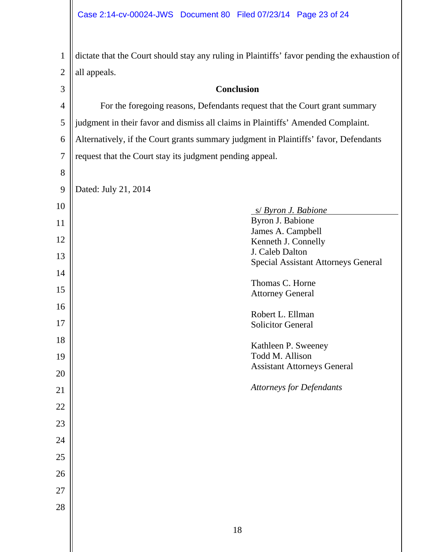1 2 3 4 5 6 7 8 9 10 11 12 13 14 15 16 17 18 19 20 21 22 23 24 25 26 27 28 dictate that the Court should stay any ruling in Plaintiffs' favor pending the exhaustion of all appeals. **Conclusion**  For the foregoing reasons, Defendants request that the Court grant summary judgment in their favor and dismiss all claims in Plaintiffs' Amended Complaint. Alternatively, if the Court grants summary judgment in Plaintiffs' favor, Defendants request that the Court stay its judgment pending appeal. Dated: July 21, 2014 s/ *Byron J. Babione* Byron J. Babione James A. Campbell Kenneth J. Connelly J. Caleb Dalton Special Assistant Attorneys General Thomas C. Horne Attorney General Robert L. Ellman Solicitor General Kathleen P. Sweeney Todd M. Allison Assistant Attorneys General *Attorneys for Defendants*